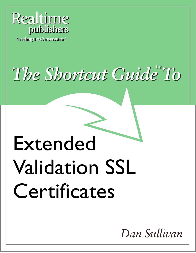

"Leading the Conversation"

# *The Shortcut Guide* To

# Extended Validation SSL Certificates

*Dan Sullivan*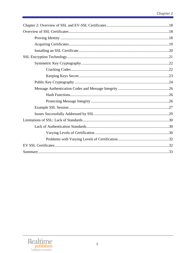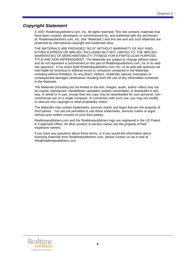#### *Copyright Statement*

© 2007 Realtimepublishers.com, Inc. All rights reserved. This site contains materials that have been created, developed, or commissioned by, and published with the permission of, Realtimepublishers.com, Inc. (the "Materials") and this site and any such Materials are protected by international copyright and trademark laws.

THE MATERIALS ARE PROVIDED "AS IS" WITHOUT WARRANTY OF ANY KIND, EITHER EXPRESS OR IMPLIED, INCLUDING BUT NOT LIMITED TO, THE IMPLIED WARRANTIES OF MERCHANTABILITY, FITNESS FOR A PARTICULAR PURPOSE, TITLE AND NON-INFRINGEMENT. The Materials are subject to change without notice and do not represent a commitment on the part of Realtimepublishers.com, Inc or its web site sponsors. In no event shall Realtimepublishers.com, Inc. or its web site sponsors be held liable for technical or editorial errors or omissions contained in the Materials, including without limitation, for any direct, indirect, incidental, special, exemplary or consequential damages whatsoever resulting from the use of any information contained in the Materials.

The Materials (including but not limited to the text, images, audio, and/or video) may not be copied, reproduced, republished, uploaded, posted, transmitted, or distributed in any way, in whole or in part, except that one copy may be downloaded for your personal, noncommercial use on a single computer. In connection with such use, you may not modify or obscure any copyright or other proprietary notice.

The Materials may contain trademarks, services marks and logos that are the property of third parties. You are not permitted to use these trademarks, services marks or logos without prior written consent of such third parties.

Realtimepublishers.com and the Realtimepublishers logo are registered in the US Patent & Trademark Office. All other product or service names are the property of their respective owners.

If you have any questions about these terms, or if you would like information about licensing materials from Realtimepublishers.com, please contact us via e-mail at [info@realtimepublishers.com](mailto:info@realtimepublishers.com).

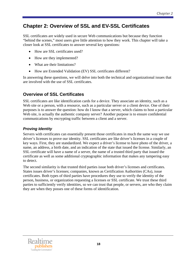# <span id="page-4-0"></span>**Chapter 2: Overview of SSL and EV-SSL Certificates**

SSL certificates are widely used in secure Web communications but because they function "behind the scenes," most users give little attention to how they work. This chapter will take a closer look at SSL certificates to answer several key questions:

- How are SSL certificates used?
- How are they implemented?
- What are their limitations?
- How are Extended Validation (EV) SSL certificates different?

In answering these questions, we will delve into both the technical and organizational issues that are involved with the use of SSL certificates.

# **Overview of SSL Certificates**

SSL certificates are like identification cards for a device. They associate an identity, such as a Web site or a person, with a resource, such as a particular server or a client device. One of their purposes is to answer the question: how do I know that a server, which claims to host a particular Web site, is actually the authentic company server? Another purpose is to ensure confidential communications by encrypting traffic between a client and a server.

#### *Proving Identity*

Servers with certificates can essentially present those certificates in much the same way we use driver's licenses to prove our identity. SSL certificates are like driver's licenses in a couple of key ways. First, they are standardized. We expect a driver's license to have photo of the driver, a name, an address, a birth date, and an indication of the state that issued the license. Similarly, an SSL certificate will have a name of a server, the name of a trusted third party that issued the certificate as well as some additional cryptographic information that makes any tampering easy to detect.

The second similarity is that trusted third parties issue both driver's licenses and certificates. States issues driver's licenses; companies, known as Certification Authorities (CAs), issue certificates. Both types of third parties have procedures they use to verify the identity of the person, business, or organization requesting a licenses or SSL certificate. We trust these third parties to sufficiently verify identities, so we can trust that people, or servers, are who they claim they are when they posses one of these forms of identification.

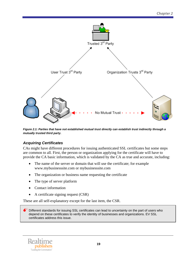<span id="page-5-0"></span>

*Figure 2.1: Parties that have not established mutual trust directly can establish trust indirectly through a mutually trusted third party.* 

#### *Acquiring Certificates*

CAs might have different procedures for issuing authenticated SSL certificates but some steps are common to all. First, the person or organization applying for the certificate will have to provide the CA basic information, which is validated by the CA as true and accurate, including:

- The name of the server or domain that will use the certificate; for example www.mybusinesssite.com or mybusinesssite.com
- The organization or business name requesting the certificate
- The type of server platform
- Contact information
- A certificate signing request (CSR)

These are all self-explanatory except for the last item, the CSR.

Different standards for issuing SSL certificates can lead to uncertainty on the part of users who depend on these certificates to verify the identity of businesses and organizations. EV SSL certificates address this issue.

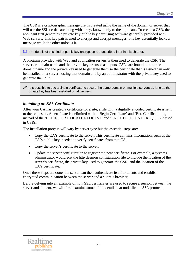<span id="page-6-0"></span>The CSR is a cryptographic message that is created using the name of the domain or server that will use the SSL certificate along with a key, known only to the applicant. To create a CSR, the applicant first generates a private key/public key pair using software generally provided with Web servers. This key pair is used to encrypt and decrypt messages; one key essentially locks a message while the other unlocks it.

**The details of this kind of public key encryption are described later in this chapter.** 

A program provided with Web and application servers is then used to generate the CSR. The server or domain name and the private key are used as inputs. CSRs are bound to both the domain name and the private key used to generate them so the certificate that is issued can only be installed on a server hosting that domain and by an administrator with the private key used to generate the CSR.

It is possible to use a single certificate to secure the same domain on multiple servers as long as the private key has been installed on all servers.

#### *Installing an SSL Certificate*

After your CA has created a certificate for a site, a file with a digitally encoded certificate is sent to the requestor. A certificate is delimited with a 'Begin Certificate' and 'End Certificate' tag instead of the 'BEGIN CERTIFICATE REQUEST' and 'END CERTIFICATE REQUEST' used in CSRs.

The installation process will vary by server type but the essential steps are:

- Copy the CA's certificate to the server. This certificate contains information, such as the CA's public key, needed to verify certificates from that CA.
- Copy the server's certificate to the server.
- Update the server configuration to register the new certificate. For example, a systems administrator would edit the http daemon configuration file to include the location of the server's certificate, the private key used to generate the CSR, and the location of the CA's certificate.

Once these steps are done, the server can then authenticate itself to clients and establish encrypted communication between the server and a client's browser.

Before delving into an example of how SSL certificates are used to secure a session between the server and a client, we will first examine some of the details that underlie the SSL protocol.

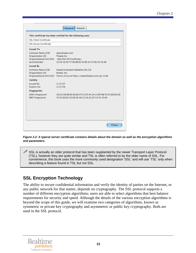<span id="page-7-0"></span>

| <b>SSL Client Certificate</b>                         |                                                                                                                                                        |
|-------------------------------------------------------|--------------------------------------------------------------------------------------------------------------------------------------------------------|
| <b>SSL Server Certificate</b>                         |                                                                                                                                                        |
| <b>Issued To</b>                                      |                                                                                                                                                        |
| Common Name (CN)<br>Organization (O)<br>Serial Number | www.thawte.com<br>Thawte Inc.<br>Organizational Unit (OU) <not certificate="" of="" part=""><br/>15:FA:16:0F:77:9E:6B:90:02:B5:63:37:B1:FA:16:AE</not> |
| <b>Issued By</b>                                      |                                                                                                                                                        |
| Common Name (CN)<br>Organization (O)                  | thawte Extended Validation SSL CA<br>thawte, Inc.<br>Organizational Unit (OU) Terms of use at https://www.thawte.com/cps (c)06                         |
| Validity                                              |                                                                                                                                                        |
| Issued On<br>Expires On                               | 1/17/07<br>1/17/09                                                                                                                                     |
| <b>Fingerprints</b>                                   |                                                                                                                                                        |
| SHA1 Fingerprint<br><b>MD5 Fingerprint</b>            | 3A:C0:5D:86:B1:D2:EE:47:C3:F0:4F:24:13:B7:6B:79:23:6D:68:5D<br>1F:3C:66:D1:03:EA:0E:36:55:2A:42:2F:14:72:1F:AC                                         |
|                                                       |                                                                                                                                                        |

*Figure 2.2: A typical server certificate contains details about the domain as well as the encryption algorithms and parameters.* 

 $\mathscr{P}$  SSL is actually an older protocol that has been supplanted by the newer Transport Layer Protocol (TSL), however they are quite similar and TSL is often referred to by the older name of SSL. For convenience, this book uses the more commonly used designation 'SSL' and will use 'TSL' only when describing a feature found in TSL but not SSL.

# **SSL Encryption Technology**

The ability to secure confidential information and verify the identity of parties on the Internet, or any public network for that matter, depends on cryptography. The SSL protocol supports a number of different encryption algorithms; users are able to select algorithms that best balance requirements for security and speed. Although the details of the various encryption algorithms is beyond the scope of this guide, we will examine two categories of algorithms, known as symmetric or private key cryptography and asymmetric or public key cryptography. Both are used in the SSL protocol.

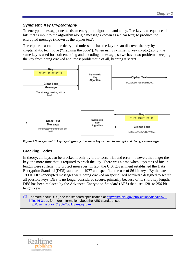#### <span id="page-8-0"></span>*Symmetric Key Cryptography*

To encrypt a message, one needs an encryption algorithm and a key. The key is a sequence of bits that is input to the algorithm along a message (known as a clear text) to produce the encrypted message (known as the cipher text).

The cipher text cannot be decrypted unless one has the key or can discover the key by cryptanalytic technique ("cracking the code"). When using symmetric key cryptography, the same key is used for both encoding and decoding a message, so we have two problems: keeping the key from being cracked and, most problematic of all, keeping it secret.



*Figure 2.3: In symmetric key cryptography, the same key is used to encrypt and decrypt a message.* 

#### **Cracking Codes**

In theory, all keys can be cracked if only by brute-force trial and error; however, the longer the key, the more time that is required to crack the key. There was a time when keys tens of bits in length were sufficient to protect messages. In fact, the U.S. government established the Data Encryption Standard (DES) standard in 1977 and specified the use of 56-bit keys. By the late 1990s, DES-encrypted messages were being cracked on specialized hardware designed to search all possible keys. DES is no longer considered secure, primarily because of its short key length. DES has been replaced by the Advanced Encryption Standard (AES) that uses 128- to 256-bit length keys.



 For more about DES, see the standard specification at [http://csrc.nist.gov/publications/fips/fips46-](http://csrc.nist.gov/publications/fips/fips46-3/fips46-3.pdf) [3/fips46-3.pdf;](http://csrc.nist.gov/publications/fips/fips46-3/fips46-3.pdf) for more information about the AES standard, see [http://csrc.nist.gov/CryptoToolkit/aes/rijndael/.](http://csrc.nist.gov/CryptoToolkit/aes/rijndael/)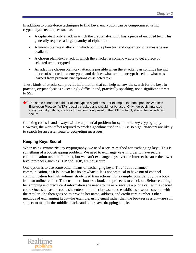<span id="page-9-0"></span>In addition to brute-force techniques to find keys, encryption can be compromised using cryptanalytic techniques such as:

- A cipher-text only attack in which the cryptanalyst only has a piece of encoded text. This generally requires a large quantity of cipher text.
- A known plain-text attack in which both the plain text and cipher text of a message are available.
- A chosen plain-text attack in which the attacker is somehow able to get a piece of selected text encrypted
- An adaptive chosen plain-text attack is possible when the attacker can continue having pieces of selected text encrypted and decides what text to encrypt based on what was learned from previous encryptions of selected text

These kinds of attacks can provide information that can help narrow the search for the key. In practice, cryptanalysis is exceedingly difficult and, practically speaking, not a significant threat to SSL.

 $\bullet$  The same cannot be said for all encryption algorithms. For example, the once popular Wireless Encryption Protocol (WEP) is easily cracked and should not be used. Only rigorously analyzed encryption algorithms, such as those commonly used in the SSL protocol, should be considered secure.

Cracking codes is and always will be a potential problem for symmetric key cryptography. However, the work effort required to crack algorithms used in SSL is so high, attackers are likely to search for an easier route to decrypting messages.

#### **Keeping Keys Secret**

When using symmetric key cryptography, we need a secure method for exchanging keys. This is something of a bootstrapping problem. We need to exchange keys in order to have secure communication over the Internet, but we can't exchange keys over the Internet because the lower level protocols, such as TCP and UDP, are not secure.

One option is to use some other means of exchanging keys. This "out of channel" communication, as it is known has its drawbacks. It is not practical to have out of channel communication for high volume, short-lived transactions. For example, consider buying a book from an online retailer. The customer chooses a book and proceeds to checkout. Before entering her shipping and credit card information she needs to make or receive a phone call with a special code. Once she has the code, she enters it into her browser and establishes a secure session with the retailer. She then goes on to provide her name, address, and credit card number. Other methods of exchanging keys—for example, using email rather than the browser session—are still subject to man-in-the-middle attacks and other eavesdropping attacks.

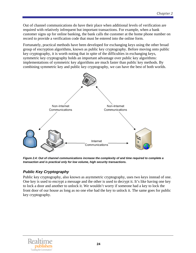<span id="page-10-0"></span>Out of channel communications do have their place when additional levels of verification are required with relatively infrequent but important transactions. For example, when a bank customer signs up for online banking, the bank calls the customer at the home phone number on record to provide a verification code that must be entered into the online form.

Fortunately, practical methods have been developed for exchanging keys using the other broad group of encryption algorithms, known as public key cryptography. Before moving onto public key cryptography, it is worth noting that in spite of the difficulties in exchanging keys, symmetric key cryptography holds an important advantage over public key algorithms: implementations of symmetric key algorithms are much faster than public key methods. By combining symmetric key and public key cryptography, we can have the best of both worlds.



*Figure 2.4: Out of channel communications increase the complexity of and time required to complete a transaction and is practical only for low volume, high security transactions.* 

#### *Public Key Cryptography*

Public key cryptography, also known as asymmetric cryptography, uses two keys instead of one. One key is used to encrypt a message and the other is used to decrypt it. It's like having one key to lock a door and another to unlock it. We wouldn't worry if someone had a key to lock the front door of our house as long as no one else had the key to unlock it. The same goes for public key cryptography.

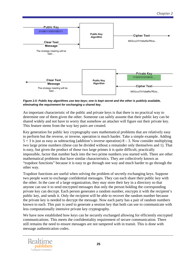

*Figure 2.5: Public key algorithms use two keys; one is kept secret and the other is publicly available, eliminating the requirement for exchanging a shared key.* 

An important characteristic of the public and private keys is that there is no practical way to determine one of them given the other. Someone can safely assume that their public key can be shared widely and not have to worry that somehow an attacker will figure out their private key. This feature stems from the way key pairs are created.

Key generation for public key cryptography uses mathematical problems that are relatively easy to perform but the reverse, or inverse, operation is much harder. Take a simple example. Adding  $5 + 3$  is just as easy as subtracting (addition's inverse operation)  $8 - 3$ . Now consider multiplying two large prime numbers (these can be divided without a remainder only themselves and 1). That is easy, but given the product of those two large primes it is quite difficult, practically impossible, factor that number back into the two prime numbers you started with. There are other mathematical problems that have similar characteristics. They are collectively known as "trapdoor functions" because it is easy to go through one way and much harder to go through the other way.

Trapdoor functions are useful when solving the problem of secretly exchanging keys. Suppose two people want to exchange confidential messages. They can each share their public key with the other. In the case of a large organization, they may store their key in a directory so that anyone can use it to send encrypted messages that only the person holding the corresponding private key can decrypt. Each person generates a random number, encrypts it with the recipient's public key, and sends it. Only the recipient will be able to recover the random number because the private key is needed to decrypt the message. Now each party has a pair of random numbers known to each. This pair is used to generate a session key that both can use to communicate with less computationally intensive private key cryptography.

We have now established how keys can be securely exchanged allowing for efficiently encrypted communications. This meets the confidentiality requirement of secure communication. There still remains the need to ensure messages are not tampered with in transit. This is done with message authentication codes.

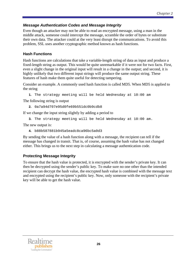#### <span id="page-12-0"></span>*Message Authentication Codes and Message Integrity*

Even though an attacker may not be able to read an encrypted message, using a man in the middle attack, someone could intercept the message, scramble the order of bytes or substitute their own data. The attacker could at the very least disrupt the communications. To avoid this problem, SSL uses another cryptographic method known as hash functions.

#### **Hash Functions**

Hash functions are calculations that take a variable-length string of data as input and produce a fixed-length string as output. This would be quite unremarkable if it were not for two facts. First, even a slight change in the original input will result in a change in the output; and second, it is highly unlikely that two different input strings will produce the same output string. These features of hash make them quite useful for detecting tampering.

Consider an example. A commonly used hash function is called MD5. When MD5 is applied to the string

```
1. The strategy meeting will be held Wednesday at 10:00 am
```
The following string is output

```
2. 0a7a94d707e95d0fe69b551dc0b9cdb8
```
If we change the input string slightly by adding a period to

**3.** The strategy meeting will be held Wednesday at 10:00 am.

The new output is:

**4.** b88b587881b945a5eadc8ca96bc5a0d3

By sending the value of a hash function along with a message, the recipient can tell if the message has changed in transit. That is, of course, assuming the hash value has not changed either. This brings us to the next step in calculating a message authentication code.

#### **Protecting Message Integrity**

To ensure that the hash value is protected, it is encrypted with the sender's private key. It can then be decrypted using the sender's public key. To make sure no one other than the intended recipient can decrypt the hash value, the encrypted hash value is combined with the message text and encrypted using the recipient's public key. Now, only someone with the recipient's private key will be able to get the hash value.

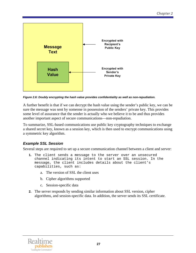<span id="page-13-0"></span>

*Figure 2.6: Doubly encrypting the hash value provides confidentiality as well as non-repudiation.* 

A further benefit is that if we can decrypt the hash value using the sender's public key, we can be sure the message was sent by someone in possession of the senders' private key. This provides some level of assurance that the sender is actually who we believe it to be and thus provides another important aspect of secure communications—non-repudiation.

To summarize, SSL-based communications use public key cryptography techniques to exchange a shared secret key, known as a session key, which is then used to encrypt communications using a symmetric key algorithm.

#### *Example SSL Session*

Several steps are required to set up a secure communication channel between a client and server:

- **1.** The client sends a message to the server over an unsecured channel indicating its intent to start an SSL session. In the message, the client includes details about the client's capabilities, such as:
	- a. The version of SSL the client uses
	- b. Cipher algorithms supported
	- c. Session-specific data
- **2.** The server responds by sending similar information about SSL version, cipher algorithms, and session-specific data. In addition, the server sends its SSL certificate.

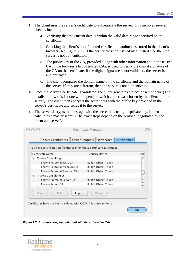- **3.** The client uses the server's certificate to authenticate the server. This involves several checks, including:
	- a. Verifying that the current date is within the valid date range specified on the certificate.
	- b. Checking the client's list of trusted certification authorities stored in the client's browser (see Figure 2.6). If the certificate is not issued by a trusted CA, then the server is not authenticated.
	- c. The public key of the CA, provided along with other information about the trusted CA in the browser's list of trusted CAs, is used to verify the digital signature of the CA on the certificate. If the digital signature is not validated, the server is not authenticated.
	- d. The client compares the domain name on the certificate and the domain name of the server. If they are different, then the server is not authenticated.
- **4.** Once the server's certificate is validated, the client generates a piece of secret data. (The details of how this is done will depend on which cipher was chosen by the client and the server). The client then encrypts the secret data with the public key provided in the server's certificate and sends it to the server.
- **5.** The server decrypts the message with the secret data using its private key. It then calculates a master secret. (The exact steps depend on the protocol negotiated by the client and server).

| You have certificates on file that identify these certificate authorities: |                             |                  |
|----------------------------------------------------------------------------|-----------------------------|------------------|
| <b>Certificate Name</b>                                                    | <b>Security Device</b>      | 閃                |
| <b>Thawte Consulting</b>                                                   |                             |                  |
| Thawte Personal Basic CA                                                   | <b>Builtin Object Token</b> |                  |
| Thawte Personal Premium CA                                                 | Builtin Object Token        |                  |
| Thawte Personal Freemail CA                                                | <b>Builtin Object Token</b> |                  |
| Thawte Consulting cc                                                       |                             |                  |
| Thawte Premium Server CA                                                   | <b>Builtin Object Token</b> |                  |
| Thawte Server CA                                                           | Builtin Object Token        | $\frac{1}{\tau}$ |
|                                                                            |                             |                  |
| Edit<br>View<br>Import                                                     | Delete                      |                  |

*Figure 2.7: Browsers are preconfigured with lists of trusted CAs.* 

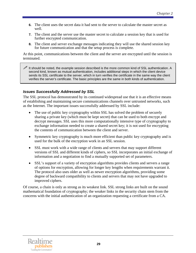- <span id="page-15-0"></span>**6.** The client uses the secret data it had sent to the server to calculate the master secret as well.
- **7.** The client and the server use the master secret to calculate a session key that is used for further encrypted communication.
- **8.** The client and server exchange messages indicating they will use the shared session key for future communication and that the setup process is complete.

At this point, communications between the client and the server are encrypted until the session is terminated.

It should be noted, the example session described is the more common kind of SSL authentication. A second kind, known as mutual authentication, includes additional steps in which the client device sends its SSL certificate to the server, which in turn verifies the certificate in the same way the client verifies the server's certificate. The basic principles are the same in both kinds of authentication.

#### *Issues Successfully Addressed by SSL*

The SSL protocol has demonstrated by its continued widespread use that it is an effective means of establishing and maintaining secure communications channels over untrusted networks, such as the Internet. The important issues successfully addressed by SSL include:

- The use of public key cryptography within SSL has solved the problem of securely sharing a private key (which must be kept secret) that can be used to both encrypt and decrypt messages. SSL uses this more computationally intensive type of cryptography to exchange information needed to create a shared secret key; it is not used for encrypting the contents of communication between the client and server.
- Symmetric key cryptography is much more efficient than public key cryptography and is used for the bulk of the encryption work in an SSL session.
- SSL must work with a wide range of clients and servers that may support different versions of SSL and different kinds of ciphers, so SSL incorporates an initial exchange of information and a negotiation to find a mutually supported set of parameters.
- SSL's support of a variety of encryption algorithms provides clients and servers a range of options for encryption, allowing for longer key lengths when requirements warrant it. The protocol also uses older as well as newer encryption algorithms, providing some degree of backward compatibility to clients and servers that may not have upgraded to improved ciphers.

Of course, a chain is only as strong as its weakest link. SSL strong links are built on the sound mathematical foundation of cryptography; the weaker links in the security chain stem from the concerns with the initial authentication of an organization requesting a certificate from a CA.

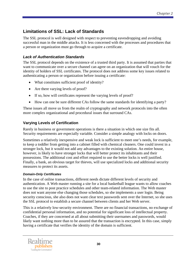# <span id="page-16-0"></span>**Limitations of SSL: Lack of Standards**

The SSL protocol is well designed with respect to preventing eavesdropping and avoiding successful man in the middle attacks. It is less concerned with the processes and procedures that a person or organization must go through to acquire a certificate.

#### *Lack of Authentication Standards*

The SSL protocol depends on the existence of a trusted third party. It is assumed that parties that want to communicate over a secure channel can agree on an organization that will vouch for the identity of holders of SSL certificates. The protocol does not address some key issues related to authenticating a person or organization before issuing a certificate:

- What constitutes sufficient proof of identity?
- Are there varying levels of proof?
- If so, how will certificates represent the varying levels of proof?
- How can one be sure different CAs follow the same standards for identifying a party?

These issues all move us from the realm of cryptography and network protocols into the often more complex organizational and procedural issues that surround CAs.

#### **Varying Levels of Certification**

Rarely in business or government operations is there a situation in which one size fits all. Security requirements are especially variable. Consider a simple analogy with locks on doors.

Sometimes a relatively inexpensive and weak lock is sufficient to meet one's needs, for example, to keep a toddler from getting into a cabinet filled with chemical cleaners. One could invest in a stronger lock, but it would not add any advantages to the existing solution. An entire house, however, is likely to have stronger locks that will better protect its inhabitants and their possessions. The additional cost and effort required to use the better locks is well justified. Finally, a bank, an obvious target for thieves, will use specialized locks and additional security measures to protect its assets.

#### *Domain-Only Certificates*

In the case of online transactions, different needs dictate different levels of security and authentication. A Web master running a site for a local basketball league wants to allow coaches to use the site to post practice schedules and other team-related information. The Web master does not want anyone else changing those schedules, so she implements a user login. Being security conscious, she also does not want clear text passwords sent over the Internet, so she uses the SSL protocol to establish a secure channel between clients and her Web server.

This is a relatively low-security environment. There are no financial transactions, no exchange of confidential personal information, and no potential for significant loss of intellectual property. Coaches, if they are concerned at all about submitting their usernames and passwords, would likely want nothing more than to be assured that the transaction is encrypted. In this case, simply having a certificate that verifies the identity of the domain is sufficient.

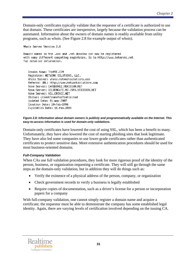Domain-only certificates typically validate that the requestor of a certificate is authorized to use that domain. These certificates are inexpensive, largely because the validation process can be automated. Information about the owners of domain names is readily available from utility programs, such as whois. (See Figure 2.8 for example output of whois).

Whois Server Version 2.0

Domain names in the .com and .net domains can now be registered with many different competing registrars. Go to http://www.internic.net for detailed information.

Domain Name: THAWTE.COM Registrar: NETWORK SOLUTIONS, LLC. Whois Server: whois.networksolutions.com Referral URL: http://www.networksolutions.com Name Server: CARQUINEZ.VERISIGN.NET Name Server: GOLDENGATE-W2-INF6.VERISIGN.NET Name Server: NS1.CRSNIC.NET Status: clientTransferProhibited Updated Date: 01-may-2007 Creation Date: 10-feb-1996 Expiration Date: 11-feb-2008

#### *Figure 2.8: Information about domain owners is publicly and programmatically available on the Internet. This easy-to-access information is used for domain-only validations.*

Domain-only certificates have lowered the cost of using SSL, which has been a benefit to many. Unfortunately, they have also lowered the cost of starting phishing sites that look legitimate. They have also led some companies to use lower-grade certificates rather than authenticated certificates to protect sensitive data. More extensive authentication procedures should be used for most business-oriented domains.

#### *Full-Company Validation*

When CAs use full validation procedures, they look for more rigorous proof of the identity of the person, business, or organization requesting a certificate. They will still go through the same steps as the domain-only validation, but in addition they will do things such as:

- Verify the existence of a physical address of the person, company, or organization
- Check government records to verify a business is legally established
- Require copies of documentation, such as a driver's license for a person or incorporation papers for a company

With full-company validation, one cannot simply register a domain name and acquire a certificate; the requestor must be able to demonstrate the company has some established legal identity. Again, there are varying levels of certification involved depending on the issuing CA.

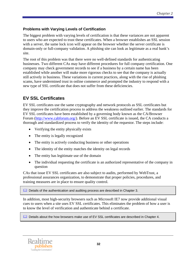#### <span id="page-18-0"></span>**Problems with Varying Levels of Certification**

The biggest problem with varying levels of certification is that these variances are not apparent to users who are expected to trust these certificates. When a browser establishes an SSL session with a server, the same lock icon will appear on the browser whether the server certificate is domain-only or full-company validation. A phishing site can look as legitimate as a real bank's site.

The root of this problem was that there were no well-defined standards for authenticating businesses. Two different CAs may have different procedures for full company certification. One company may check government records to see if a business by a certain name has been established while another will make more rigorous checks to see that the company is actually still actively in business. These variations in current practices, along with the rise of phishing scams, have undermined trust in online commerce and prompted the industry to respond with a new type of SSL certificate that does not suffer from these deficiencies.

# **EV SSL Certificates**

EV SSL certificates use the same cryptography and network protocols as SSL certificates but they improve the certification process to address the weakness outlined earlier. The standards for EV SSL certificates have been established by a governing body known as the CA/Browser Forum (<http://www.cabforum.org/>). Before an EV SSL certificate is issued, the CA conducts a thorough and standardized process to verify the identity of the requestor. The steps include:

- Verifying the entity physically exists
- The entity is legally recognized
- The entity is actively conducting business or other operations
- The identity of the entity matches the identity on legal records
- The entity has legitimate use of the domain
- The individual requesting the certificate is an authorized representative of the company in question

CAs that issue EV SSL certificates are also subject to audits, performed by WebTrust, a professional assurances organization, to demonstrate that proper policies, procedures, and training measures are in place to ensure quality control.

**Details of the authentication and auditing process are described in Chapter 3.** 

In addition, most high-security browsers such as Microsoft IE7 now provide additional visual cues to users when a site uses EV SSL certificates. This eliminates the problem of how a user is to know the level of verification and authenticate behind a certificate.

**La** Details about the how browsers make use of EV SSL certificates are described in Chapter 4.